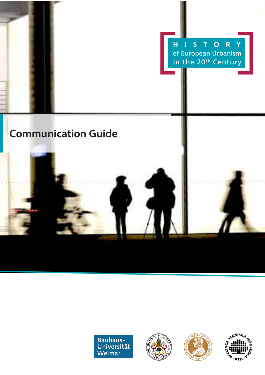







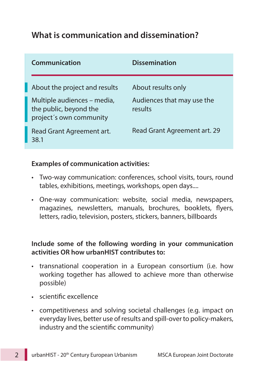## **What is communication and dissemination?**

| Communication                                                                    | <b>Dissemination</b>                  |
|----------------------------------------------------------------------------------|---------------------------------------|
| About the project and results                                                    | About results only                    |
| Multiple audiences – media,<br>the public, beyond the<br>project's own community | Audiences that may use the<br>results |
| Read Grant Agreement art.<br>38.1                                                | Read Grant Agreement art. 29          |

### **Examples of communication activities:**

- Two-way communication: conferences, school visits, tours, round tables, exhibitions, meetings, workshops, open days....
- One-way communication: website, social media, newspapers, magazines, newsletters, manuals, brochures, booklets, flyers, letters, radio, television, posters, stickers, banners, billboards

## **Include some of the following wording in your communication activities OR how urbanHIST contributes to:**

- transnational cooperation in a European consortium (i.e. how working together has allowed to achieve more than otherwise possible)
- scientific excellence
- competitiveness and solving societal challenges (e.g. impact on everyday lives, better use of results and spill-overto policy-makers, industry and the scientific community)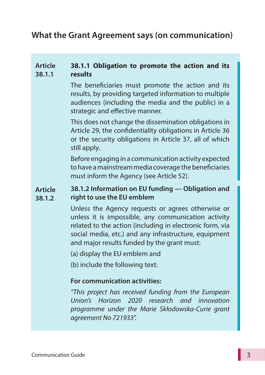## **What the Grant Agreement says (on communication)**

#### **Article 38.1.1 38.1.1 Obligation to promote the action and its results**

The beneficiaries must promote the action and its results, by providing targeted information to multiple audiences (including the media and the public) in a strategic and effective manner.

This does not change the dissemination obligations in Article 29, the confidentiality obligations in Article 36 or the security obligations in Article 37, all of which still apply.

Before engaging in a communication activity expected to have a mainstream media coverage the beneficiaries must inform the Agency (see Article 52).

#### **Article 38.1.2 38.1.2 Information on EU funding — Obligation and right to use the EU emblem**

Unless the Agency requests or agrees otherwise or unless it is impossible, any communication activity related to the action (including in electronic form, via social media, etc.) and any infrastructure, equipment and major results funded by the grant must:

(a) display the EU emblem and

(b) include the following text:

#### **For communication activities:**

*"This project has received funding from the European Union's Horizon 2020 research and innovation programme under the Marie Skłodowska-Curie grant agreement No 721933".*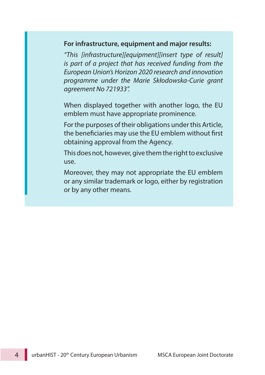#### **For infrastructure, equipment and major results:**

*"This [infrastructure][equipment][insert type of result] is part of a project that has received funding from the European Union's Horizon 2020 research and innovation programme under the Marie Skłodowska-Curie grant agreement No 721933".*

When displayed together with another logo, the EU emblem must have appropriate prominence.

For the purposes of their obligations under this Article, the beneficiaries may use the EU emblem without first obtaining approval from the Agency.

This does not, however, give them the right to exclusive use.

Moreover, they may not appropriate the EU emblem or any similar trademark or logo, either by registration or by any other means.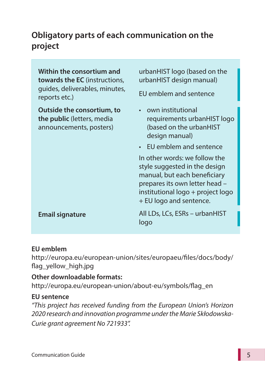# **Obligatory parts of each communication on the project**

**Within the consortium and towards the EC** (instructions, guides, deliverables, minutes, reports etc.)

**Outside the consortium, to the public** (letters, media announcements, posters)

urbanHIST logo (based on the urbanHIST design manual)

EU emblem and sentence

- • own institutional requirements urbanHIST logo (based on the urbanHIST design manual)
- • EU emblem and sentence

In other words: we follow the style suggested in the design manual, but each beneficiary prepares its own letter head – institutional logo + project logo + EU logo and sentence.

**Email signature** All LDs, LCs, ESRs – urbanHIST logo

## **EU emblem**

http://europa.eu/european-union/sites/europaeu/files/docs/body/ flag\_yellow\_high.jpg

## **Other downloadable formats:**

http://europa.eu/european-union/about-eu/symbols/flag\_en

## **EU sentence**

*"This project has received funding from the European Union's Horizon 2020 research and innovation programme under the Marie Skłodowska-Curie grant agreement No 721933".*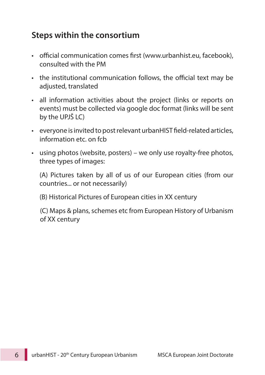## **Steps within the consortium**

- official communication comes first (www.urbanhist.eu, facebook), consulted with the PM
- the institutional communication follows, the official text may be adjusted, translated
- all information activities about the project (links or reports on events) must be collected via google doc format (links will be sent by the UPJŠ LC)
- everyone is invited to post relevant urbanHIST field-related articles, information etc. on fcb
- • using photos (website, posters) we only use royalty-free photos, three types of images:

(A) Pictures taken by all of us of our European cities (from our countries... or not necessarily)

(B) Historical Pictures of European cities in XX century

(C) Maps & plans, schemes etc from European History of Urbanism of XX century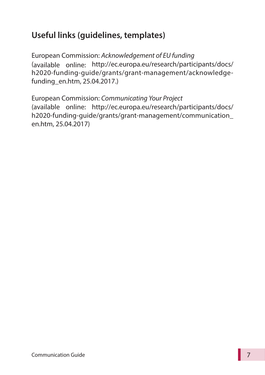# **Useful links (guidelines, templates)**

European Commission: *Acknowledgement of EU funding* (available online: http://ec.europa.eu/research/participants/docs/ h2020-funding-guide/grants/grant-management/acknowledgefunding\_en.htm, 25.04.2017.)

European Commission: *Communicating Your Project* (available online: http://ec.europa.eu/research/participants/docs/ h2020-funding-guide/grants/grant-management/communication\_ en.htm, 25.04.2017)